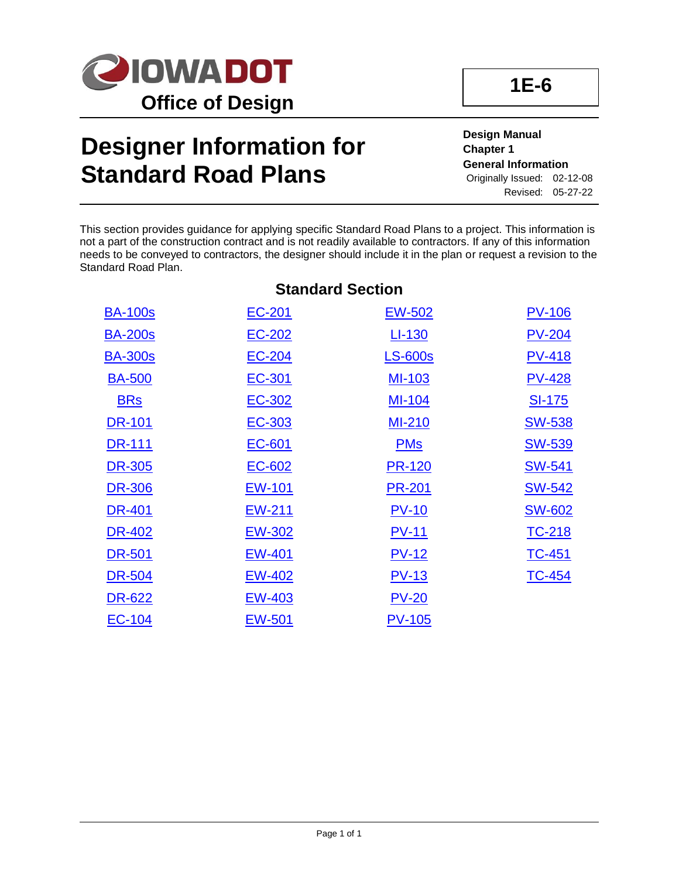

## **Designer Information for Standard Road Plans**

**Design Manual Chapter 1 General Information** Originally Issued: 02-12-08 Revised: 05-27-22

This section provides guidance for applying specific Standard Road Plans to a project. This information is not a part of the construction contract and is not readily available to contractors. If any of this information needs to be conveyed to contractors, the designer should include it in the plan or request a revision to the Standard Road Plan.

| <b>Standard Section</b> |               |                |               |  |
|-------------------------|---------------|----------------|---------------|--|
| <b>BA-100s</b>          | EC-201        | <u>EW-502</u>  | <b>PV-106</b> |  |
| <b>BA-200s</b>          | EC-202        | LI-130         | $PV-204$      |  |
| <b>BA-300s</b>          | EC-204        | <b>LS-600s</b> | <b>PV-418</b> |  |
| <b>BA-500</b>           | EC-301        | MI-103         | <b>PV-428</b> |  |
| <b>BRs</b>              | EC-302        | <u>MI-104</u>  | <u>SI-175</u> |  |
| <b>DR-101</b>           | EC-303        | <b>MI-210</b>  | <b>SW-538</b> |  |
| <b>DR-111</b>           | EC-601        | <b>PMs</b>     | <u>SW-539</u> |  |
| DR-305                  | EC-602        | <b>PR-120</b>  | <u>SW-541</u> |  |
| <b>DR-306</b>           | <u>EW-101</u> | <b>PR-201</b>  | <u>SW-542</u> |  |
| <b>DR-401</b>           | EW-211        | $PV-10$        | <b>SW-602</b> |  |
| DR-402                  | <b>EW-302</b> | <u>PV-11</u>   | TC-218        |  |
| <b>DR-501</b>           | <b>EW-401</b> | <u>PV-12</u>   | <b>TC-451</b> |  |
| <b>DR-504</b>           | <b>EW-402</b> | $PV-13$        | <b>TC-454</b> |  |
| DR-622                  | EW-403        | $PV-20$        |               |  |
| <b>EC-104</b>           | <b>EW-501</b> | <b>PV-105</b>  |               |  |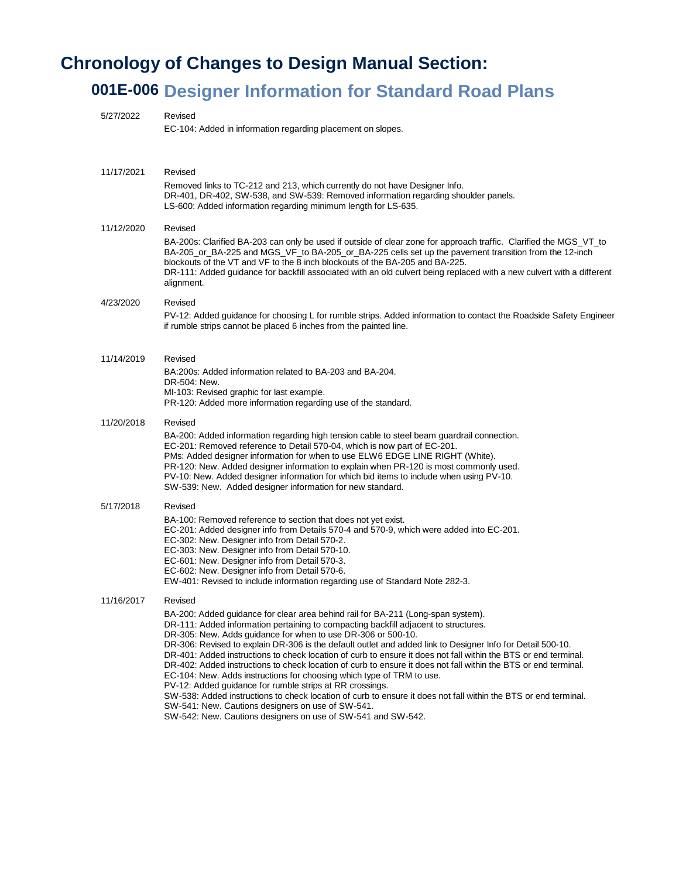## **Chronology of Changes to Design Manual Section:**

## **001E-006 Designer Information for Standard Road Plans**

| 5/27/2022  | Revised<br>EC-104: Added in information regarding placement on slopes.                                                                                                                                                                                                                                                                                                                                                                                                                                                                                                                                                                                                                                                                                                                                                                                                                                                                                                              |
|------------|-------------------------------------------------------------------------------------------------------------------------------------------------------------------------------------------------------------------------------------------------------------------------------------------------------------------------------------------------------------------------------------------------------------------------------------------------------------------------------------------------------------------------------------------------------------------------------------------------------------------------------------------------------------------------------------------------------------------------------------------------------------------------------------------------------------------------------------------------------------------------------------------------------------------------------------------------------------------------------------|
| 11/17/2021 | Revised<br>Removed links to TC-212 and 213, which currently do not have Designer Info.<br>DR-401, DR-402, SW-538, and SW-539: Removed information regarding shoulder panels.<br>LS-600: Added information regarding minimum length for LS-635.                                                                                                                                                                                                                                                                                                                                                                                                                                                                                                                                                                                                                                                                                                                                      |
| 11/12/2020 | Revised<br>BA-200s: Clarified BA-203 can only be used if outside of clear zone for approach traffic. Clarified the MGS_VT_to<br>BA-205_or_BA-225 and MGS_VF_to BA-205_or_BA-225 cells set up the pavement transition from the 12-inch<br>blockouts of the VT and VF to the 8 inch blockouts of the BA-205 and BA-225.<br>DR-111: Added guidance for backfill associated with an old culvert being replaced with a new culvert with a different<br>alignment.                                                                                                                                                                                                                                                                                                                                                                                                                                                                                                                        |
| 4/23/2020  | Revised<br>PV-12: Added guidance for choosing L for rumble strips. Added information to contact the Roadside Safety Engineer<br>if rumble strips cannot be placed 6 inches from the painted line.                                                                                                                                                                                                                                                                                                                                                                                                                                                                                                                                                                                                                                                                                                                                                                                   |
| 11/14/2019 | Revised<br>BA: 200s: Added information related to BA-203 and BA-204.<br>DR-504: New.<br>MI-103: Revised graphic for last example.<br>PR-120: Added more information regarding use of the standard.                                                                                                                                                                                                                                                                                                                                                                                                                                                                                                                                                                                                                                                                                                                                                                                  |
| 11/20/2018 | Revised<br>BA-200: Added information regarding high tension cable to steel beam guardrail connection.<br>EC-201: Removed reference to Detail 570-04, which is now part of EC-201.<br>PMs: Added designer information for when to use ELW6 EDGE LINE RIGHT (White).<br>PR-120: New. Added designer information to explain when PR-120 is most commonly used.<br>PV-10: New. Added designer information for which bid items to include when using PV-10.<br>SW-539: New. Added designer information for new standard.                                                                                                                                                                                                                                                                                                                                                                                                                                                                 |
| 5/17/2018  | Revised<br>BA-100: Removed reference to section that does not yet exist.<br>EC-201: Added designer info from Details 570-4 and 570-9, which were added into EC-201.<br>EC-302: New. Designer info from Detail 570-2.<br>EC-303: New. Designer info from Detail 570-10.<br>EC-601: New. Designer info from Detail 570-3.<br>EC-602: New. Designer info from Detail 570-6.<br>EW-401: Revised to include information regarding use of Standard Note 282-3.                                                                                                                                                                                                                                                                                                                                                                                                                                                                                                                            |
| 11/16/2017 | Revised<br>BA-200: Added guidance for clear area behind rail for BA-211 (Long-span system).<br>DR-111: Added information pertaining to compacting backfill adjacent to structures.<br>DR-305: New. Adds guidance for when to use DR-306 or 500-10.<br>DR-306: Revised to explain DR-306 is the default outlet and added link to Designer Info for Detail 500-10.<br>DR-401: Added instructions to check location of curb to ensure it does not fall within the BTS or end terminal.<br>DR-402: Added instructions to check location of curb to ensure it does not fall within the BTS or end terminal.<br>EC-104: New. Adds instructions for choosing which type of TRM to use.<br>PV-12: Added guidance for rumble strips at RR crossings.<br>SW-538: Added instructions to check location of curb to ensure it does not fall within the BTS or end terminal.<br>SW-541: New. Cautions designers on use of SW-541.<br>SW-542: New. Cautions designers on use of SW-541 and SW-542. |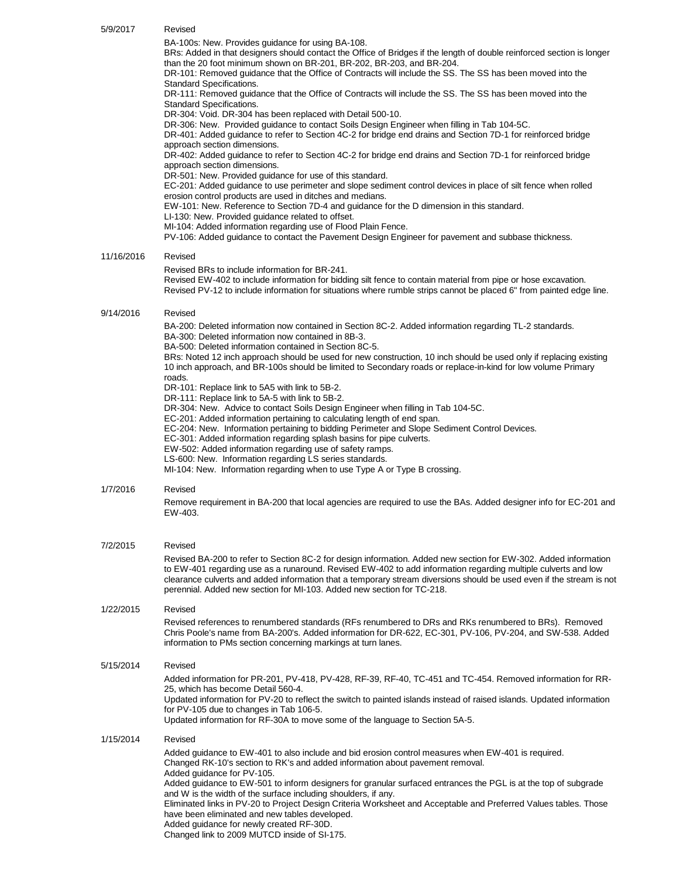| 5/9/2017   | Revised                                                                                                                                                                                                                                                                                                                                                                                                                                                                                                                                                                                                                                                                                                                                                                                                                                                                                                                                                                                                                                                                                                                                                                                                                                                                                                                                                                                                                                                                                                                                                                       |
|------------|-------------------------------------------------------------------------------------------------------------------------------------------------------------------------------------------------------------------------------------------------------------------------------------------------------------------------------------------------------------------------------------------------------------------------------------------------------------------------------------------------------------------------------------------------------------------------------------------------------------------------------------------------------------------------------------------------------------------------------------------------------------------------------------------------------------------------------------------------------------------------------------------------------------------------------------------------------------------------------------------------------------------------------------------------------------------------------------------------------------------------------------------------------------------------------------------------------------------------------------------------------------------------------------------------------------------------------------------------------------------------------------------------------------------------------------------------------------------------------------------------------------------------------------------------------------------------------|
|            | BA-100s: New. Provides guidance for using BA-108.<br>BRs: Added in that designers should contact the Office of Bridges if the length of double reinforced section is longer<br>than the 20 foot minimum shown on BR-201, BR-202, BR-203, and BR-204.<br>DR-101: Removed guidance that the Office of Contracts will include the SS. The SS has been moved into the<br>Standard Specifications.<br>DR-111: Removed guidance that the Office of Contracts will include the SS. The SS has been moved into the<br><b>Standard Specifications.</b><br>DR-304: Void. DR-304 has been replaced with Detail 500-10.<br>DR-306: New. Provided guidance to contact Soils Design Engineer when filling in Tab 104-5C.<br>DR-401: Added guidance to refer to Section 4C-2 for bridge end drains and Section 7D-1 for reinforced bridge<br>approach section dimensions.<br>DR-402: Added guidance to refer to Section 4C-2 for bridge end drains and Section 7D-1 for reinforced bridge<br>approach section dimensions.<br>DR-501: New. Provided guidance for use of this standard.<br>EC-201: Added guidance to use perimeter and slope sediment control devices in place of silt fence when rolled<br>erosion control products are used in ditches and medians.<br>EW-101: New. Reference to Section 7D-4 and guidance for the D dimension in this standard.<br>LI-130: New. Provided guidance related to offset.<br>MI-104: Added information regarding use of Flood Plain Fence.<br>PV-106: Added guidance to contact the Pavement Design Engineer for pavement and subbase thickness. |
| 11/16/2016 | Revised                                                                                                                                                                                                                                                                                                                                                                                                                                                                                                                                                                                                                                                                                                                                                                                                                                                                                                                                                                                                                                                                                                                                                                                                                                                                                                                                                                                                                                                                                                                                                                       |
|            | Revised BRs to include information for BR-241.<br>Revised EW-402 to include information for bidding silt fence to contain material from pipe or hose excavation.<br>Revised PV-12 to include information for situations where rumble strips cannot be placed 6" from painted edge line.                                                                                                                                                                                                                                                                                                                                                                                                                                                                                                                                                                                                                                                                                                                                                                                                                                                                                                                                                                                                                                                                                                                                                                                                                                                                                       |
| 9/14/2016  | Revised                                                                                                                                                                                                                                                                                                                                                                                                                                                                                                                                                                                                                                                                                                                                                                                                                                                                                                                                                                                                                                                                                                                                                                                                                                                                                                                                                                                                                                                                                                                                                                       |
|            | BA-200: Deleted information now contained in Section 8C-2. Added information regarding TL-2 standards.<br>BA-300: Deleted information now contained in 8B-3.<br>BA-500: Deleted information contained in Section 8C-5.<br>BRs: Noted 12 inch approach should be used for new construction, 10 inch should be used only if replacing existing<br>10 inch approach, and BR-100s should be limited to Secondary roads or replace-in-kind for low volume Primary<br>roads.                                                                                                                                                                                                                                                                                                                                                                                                                                                                                                                                                                                                                                                                                                                                                                                                                                                                                                                                                                                                                                                                                                        |
|            | DR-101: Replace link to 5A5 with link to 5B-2.<br>DR-111: Replace link to 5A-5 with link to 5B-2.<br>DR-304: New. Advice to contact Soils Design Engineer when filling in Tab 104-5C.<br>EC-201: Added information pertaining to calculating length of end span.<br>EC-204: New. Information pertaining to bidding Perimeter and Slope Sediment Control Devices.<br>EC-301: Added information regarding splash basins for pipe culverts.<br>EW-502: Added information regarding use of safety ramps.<br>LS-600: New. Information regarding LS series standards.<br>MI-104: New. Information regarding when to use Type A or Type B crossing.                                                                                                                                                                                                                                                                                                                                                                                                                                                                                                                                                                                                                                                                                                                                                                                                                                                                                                                                  |
| 1/7/2016   | Revised                                                                                                                                                                                                                                                                                                                                                                                                                                                                                                                                                                                                                                                                                                                                                                                                                                                                                                                                                                                                                                                                                                                                                                                                                                                                                                                                                                                                                                                                                                                                                                       |
|            | Remove requirement in BA-200 that local agencies are required to use the BAs. Added designer info for EC-201 and<br>EW-403.                                                                                                                                                                                                                                                                                                                                                                                                                                                                                                                                                                                                                                                                                                                                                                                                                                                                                                                                                                                                                                                                                                                                                                                                                                                                                                                                                                                                                                                   |
| 7/2/2015   | Revised<br>Revised BA-200 to refer to Section 8C-2 for design information. Added new section for EW-302. Added information<br>to EW-401 regarding use as a runaround. Revised EW-402 to add information regarding multiple culverts and low<br>clearance culverts and added information that a temporary stream diversions should be used even if the stream is not<br>perennial. Added new section for MI-103. Added new section for TC-218.                                                                                                                                                                                                                                                                                                                                                                                                                                                                                                                                                                                                                                                                                                                                                                                                                                                                                                                                                                                                                                                                                                                                 |
| 1/22/2015  | Revised<br>Revised references to renumbered standards (RFs renumbered to DRs and RKs renumbered to BRs). Removed<br>Chris Poole's name from BA-200's. Added information for DR-622, EC-301, PV-106, PV-204, and SW-538. Added<br>information to PMs section concerning markings at turn lanes.                                                                                                                                                                                                                                                                                                                                                                                                                                                                                                                                                                                                                                                                                                                                                                                                                                                                                                                                                                                                                                                                                                                                                                                                                                                                                |
| 5/15/2014  | Revised<br>Added information for PR-201, PV-418, PV-428, RF-39, RF-40, TC-451 and TC-454. Removed information for RR-<br>25, which has become Detail 560-4.<br>Updated information for PV-20 to reflect the switch to painted islands instead of raised islands. Updated information<br>for PV-105 due to changes in Tab 106-5.<br>Updated information for RF-30A to move some of the language to Section 5A-5.                                                                                                                                                                                                                                                                                                                                                                                                                                                                                                                                                                                                                                                                                                                                                                                                                                                                                                                                                                                                                                                                                                                                                               |
| 1/15/2014  | Revised<br>Added guidance to EW-401 to also include and bid erosion control measures when EW-401 is required.<br>Changed RK-10's section to RK's and added information about pavement removal.<br>Added guidance for PV-105.<br>Added guidance to EW-501 to inform designers for granular surfaced entrances the PGL is at the top of subgrade<br>and W is the width of the surface including shoulders, if any.<br>Eliminated links in PV-20 to Project Design Criteria Worksheet and Acceptable and Preferred Values tables. Those<br>have been eliminated and new tables developed.<br>Added guidance for newly created RF-30D.<br>Changed link to 2009 MUTCD inside of SI-175.                                                                                                                                                                                                                                                                                                                                                                                                                                                                                                                                                                                                                                                                                                                                                                                                                                                                                            |